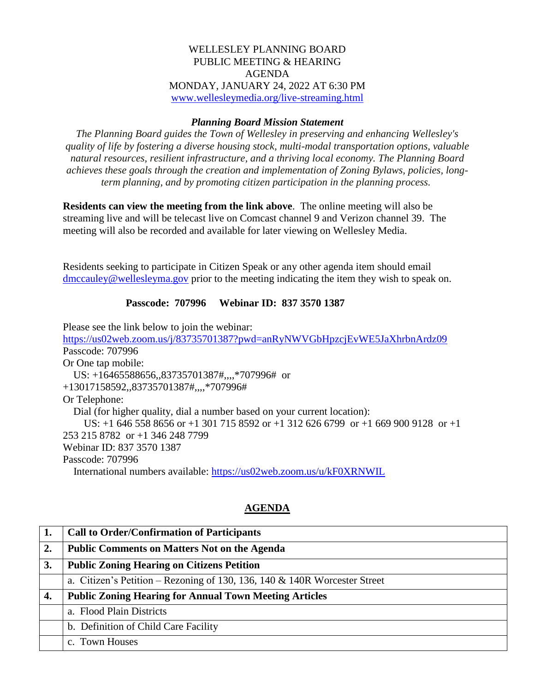## WELLESLEY PLANNING BOARD PUBLIC MEETING & HEARING AGENDA MONDAY, JANUARY 24, 2022 AT 6:30 PM [www.wellesleymedia.org/live-streaming.html](http://www.wellesleymedia.org/live-streaming.html)

## *Planning Board Mission Statement*

*The Planning Board guides the Town of Wellesley in preserving and enhancing Wellesley's quality of life by fostering a diverse housing stock, multi-modal transportation options, valuable natural resources, resilient infrastructure, and a thriving local economy. The Planning Board achieves these goals through the creation and implementation of Zoning Bylaws, policies, longterm planning, and by promoting citizen participation in the planning process.*

**Residents can view the meeting from the link above**. The online meeting will also be streaming live and will be telecast live on Comcast channel 9 and Verizon channel 39. The meeting will also be recorded and available for later viewing on Wellesley Media.

Residents seeking to participate in Citizen Speak or any other agenda item should email [dmccauley@wellesleyma.gov](mailto:dmccauley@wellesleyma.gov) prior to the meeting indicating the item they wish to speak on.

## **Passcode: 707996 Webinar ID: 837 3570 1387**

Please see the link below to join the webinar:

<https://us02web.zoom.us/j/83735701387?pwd=anRyNWVGbHpzcjEvWE5JaXhrbnArdz09> Passcode: 707996 Or One tap mobile: US: +16465588656,,83735701387#,,,,\*707996# or +13017158592,,83735701387#,,,,\*707996# Or Telephone: Dial (for higher quality, dial a number based on your current location): US: +1 646 558 8656 or +1 301 715 8592 or +1 312 626 6799 or +1 669 900 9128 or +1 253 215 8782 or +1 346 248 7799 Webinar ID: 837 3570 1387 Passcode: 707996 International numbers available:<https://us02web.zoom.us/u/kF0XRNWIL>

## **AGENDA**

| 1. | <b>Call to Order/Confirmation of Participants</b>                            |  |  |
|----|------------------------------------------------------------------------------|--|--|
| 2. | <b>Public Comments on Matters Not on the Agenda</b>                          |  |  |
| 3. | <b>Public Zoning Hearing on Citizens Petition</b>                            |  |  |
|    | a. Citizen's Petition – Rezoning of 130, 136, 140 $\&$ 140R Worcester Street |  |  |
| 4. | <b>Public Zoning Hearing for Annual Town Meeting Articles</b>                |  |  |
|    | a. Flood Plain Districts                                                     |  |  |
|    | b. Definition of Child Care Facility                                         |  |  |
|    | c. Town Houses                                                               |  |  |